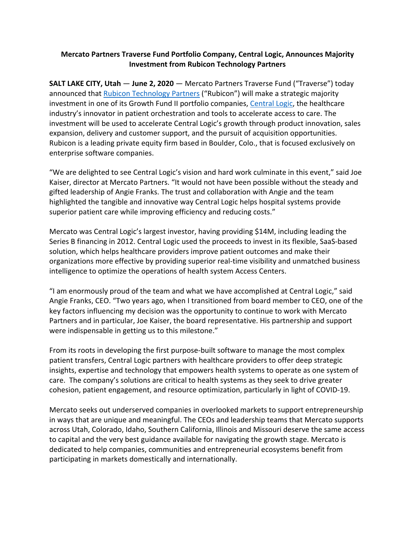## **Mercato Partners Traverse Fund Portfolio Company, Central Logic, Announces Majority Investment from Rubicon Technology Partners**

**SALT LAKE CITY, Utah** — **June 2, 2020** — Mercato Partners Traverse Fund ("Traverse") today announced that Rubicon Technology Partners ("Rubicon") will make a strategic majority investment in one of its Growth Fund II portfolio companies, Central Logic, the healthcare industry's innovator in patient orchestration and tools to accelerate access to care. The investment will be used to accelerate Central Logic's growth through product innovation, sales expansion, delivery and customer support, and the pursuit of acquisition opportunities. Rubicon is a leading private equity firm based in Boulder, Colo., that is focused exclusively on enterprise software companies.

"We are delighted to see Central Logic's vision and hard work culminate in this event," said Joe Kaiser, director at Mercato Partners. "It would not have been possible without the steady and gifted leadership of Angie Franks. The trust and collaboration with Angie and the team highlighted the tangible and innovative way Central Logic helps hospital systems provide superior patient care while improving efficiency and reducing costs."

Mercato was Central Logic's largest investor, having providing \$14M, including leading the Series B financing in 2012. Central Logic used the proceeds to invest in its flexible, SaaS-based solution, which helps healthcare providers improve patient outcomes and make their organizations more effective by providing superior real-time visibility and unmatched business intelligence to optimize the operations of health system Access Centers.

"I am enormously proud of the team and what we have accomplished at Central Logic," said Angie Franks, CEO. "Two years ago, when I transitioned from board member to CEO, one of the key factors influencing my decision was the opportunity to continue to work with Mercato Partners and in particular, Joe Kaiser, the board representative. His partnership and support were indispensable in getting us to this milestone."

From its roots in developing the first purpose-built software to manage the most complex patient transfers, Central Logic partners with healthcare providers to offer deep strategic insights, expertise and technology that empowers health systems to operate as one system of care. The company's solutions are critical to health systems as they seek to drive greater cohesion, patient engagement, and resource optimization, particularly in light of COVID-19.

Mercato seeks out underserved companies in overlooked markets to support entrepreneurship in ways that are unique and meaningful. The CEOs and leadership teams that Mercato supports across Utah, Colorado, Idaho, Southern California, Illinois and Missouri deserve the same access to capital and the very best guidance available for navigating the growth stage. Mercato is dedicated to help companies, communities and entrepreneurial ecosystems benefit from participating in markets domestically and internationally.